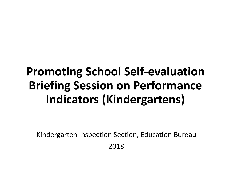## **Promoting School Self-evaluation Briefing Session on Performance Indicators (Kindergartens)**

Kindergarten Inspection Section, Education Bureau

2018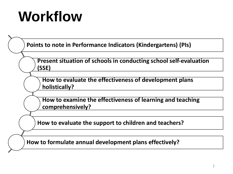## **Workflow**

**Points to note in Performance Indicators (Kindergartens) (PIs)**

**Present situation of schools in conducting school self-evaluation (SSE)**

**How to evaluate the effectiveness of development plans holistically?**

**How to examine the effectiveness of learning and teaching comprehensively?**

**How to evaluate the support to children and teachers?**

**How to formulate annual development plans effectively?**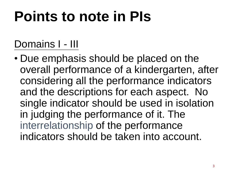### Domains I - III

• Due emphasis should be placed on the overall performance of a kindergarten, after considering all the performance indicators and the descriptions for each aspect. No single indicator should be used in isolation in judging the performance of it. The interrelationship of the performance indicators should be taken into account.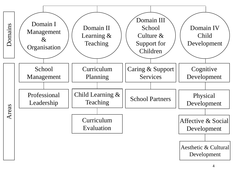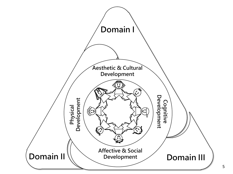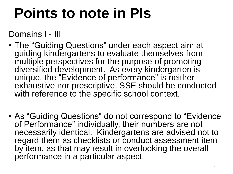#### Domains I - III

- The "Guiding Questions" under each aspect aim at guiding kindergartens to evaluate themselves from multiple perspectives for the purpose of promoting diversified development. As every kindergarten is unique, the "Evidence of performance" is neither exhaustive nor prescriptive, SSE should be conducted with reference to the specific school context.
- As "Guiding Questions" do not correspond to "Evidence of Performance" individually, their numbers are not necessarily identical. Kindergartens are advised not to regard them as checklists or conduct assessment item by item, as that may result in overlooking the overall performance in a particular aspect.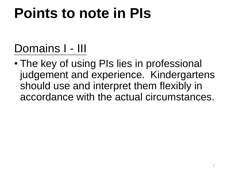## Domains I - III

• The key of using PIs lies in professional judgement and experience. Kindergartens should use and interpret them flexibly in accordance with the actual circumstances.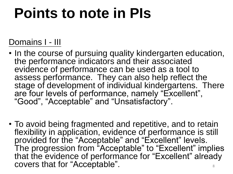### Domains I - III

- In the course of pursuing quality kindergarten education, the performance indicators and their associated evidence of performance can be used as a tool to assess performance. They can also help reflect the stage of development of individual kindergartens. There are four levels of performance, namely "Excellent", "Good", "Acceptable" and "Unsatisfactory".
- To avoid being fragmented and repetitive, and to retain flexibility in application, evidence of performance is still provided for the "Acceptable" and "Excellent" levels. The progression from "Acceptable" to "Excellent" implies that the evidence of performance for "Excellent" already covers that for "Acceptable".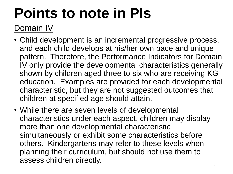### Domain IV

- Child development is an incremental progressive process, and each child develops at his/her own pace and unique pattern. Therefore, the Performance Indicators for Domain IV only provide the developmental characteristics generally shown by children aged three to six who are receiving KG education. Examples are provided for each developmental characteristic, but they are not suggested outcomes that children at specified age should attain.
- While there are seven levels of developmental characteristics under each aspect, children may display more than one developmental characteristic simultaneously or exhibit some characteristics before others. Kindergartens may refer to these levels when planning their curriculum, but should not use them to assess children directly.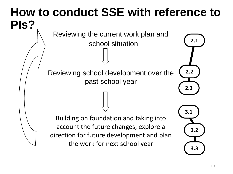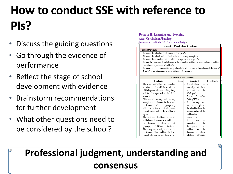## **How to conduct SSE with reference to PIs?**

- Discuss the guiding questions
- Go through the evidence of performance
- Reflect the stage of school development with evidence
- Brainstorm recommendations for further development
- What other questions need to be considered by the school?
- **Domain II: Learning and Teaching.**
- **Area: Curriculum Planning.**
- Performance Indicator 2.1: Curriculum Design.



| aims that are in line with the overall aims | aims align with those       |
|---------------------------------------------|-----------------------------|
| of kindergarten education in Hong Kong      | the<br>out<br>in<br>set     |
| and the developmental needs of the          | Kindergarten                |
| school. $\leftrightarrow$                   | <b>Education Curriculum</b> |
| Child-centred learning and teaching         | Guide $(2017)$ .            |
| strategies are embedded in the school       | The learning<br>and         |
| curriculum, which appropriately             | teaching strategies of      |
| addresses children's developmental          | the school facilitate the   |
| characteristics and needs at different      | implementation of the       |
| ages.                                       | child-centred               |
| The curriculum facilitates the holistic     | curriculum. $\cdot$         |
| and balanced development of children in     | curriculum<br>The           |
| the domains of ethics, intellect,           | facilitates<br>the          |
| physique, social skills and aesthetics.     | development<br>οf           |
| The arrangements and planning of the<br>٠   | children<br>in<br>the       |
| curriculum allow children to learn          | domains<br>of ethics.       |
| through play and provide them with a        | intellect,<br>physique,     |
|                                             |                             |

### **Professional judgment, understanding and consensus**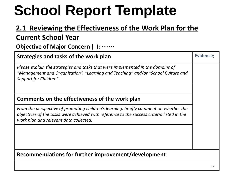# **School Report Template**

### **2.1 Reviewing the Effectiveness of the Work Plan for the**

#### **Current School Year**

**Objective of Major Concern ( ):** ……

| Strategies and tasks of the work plan                                                                                                                                                                                         | Evidence: |  |
|-------------------------------------------------------------------------------------------------------------------------------------------------------------------------------------------------------------------------------|-----------|--|
| Please explain the strategies and tasks that were implemented in the domains of<br>"Management and Organization", "Learning and Teaching" and/or "School Culture and<br>Support for Children".                                |           |  |
|                                                                                                                                                                                                                               |           |  |
| Comments on the effectiveness of the work plan                                                                                                                                                                                |           |  |
| From the perspective of promoting children's learning, briefly comment on whether the<br>objectives of the tasks were achieved with reference to the success criteria listed in the<br>work plan and relevant data collected. |           |  |
|                                                                                                                                                                                                                               |           |  |
|                                                                                                                                                                                                                               |           |  |
| Recommendations for further improvement/development                                                                                                                                                                           |           |  |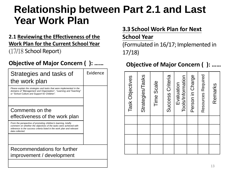### **Relationship between Part 2.1 and Last Year Work Plan**

#### **2.1 Reviewing the Effectiveness of the Work Plan for the Current School Year** (17/18 School Report)

| Strategies and tasks of<br>the work plan                                                                                                                                                                                         | Evidence |
|----------------------------------------------------------------------------------------------------------------------------------------------------------------------------------------------------------------------------------|----------|
| Please explain the strategies and tasks that were implemented in the<br>domains of "Management and Organization", "Learning and Teaching"<br>or "School Culture and Support for Children".                                       |          |
| Comments on the                                                                                                                                                                                                                  |          |
| effectiveness of the work plan                                                                                                                                                                                                   |          |
| From the perspective of promoting children's learning, briefly<br>comment on whether the objectives of the tasks were achieved with<br>reference to the success criteria listed in the work plan and relevant<br>data collected. |          |
|                                                                                                                                                                                                                                  |          |
| Recommendations for further<br>improvement / development                                                                                                                                                                         |          |
|                                                                                                                                                                                                                                  |          |

#### **3.3 School Work Plan for Next**

#### **School Year**

(Formulated in 16/17; Implemented in 17/18)

#### **Objective of Major Concern ( ): …… Objective of Major Concern ( ): ……**

| Evaluation |  | Task Objectives    |  |
|------------|--|--------------------|--|
|            |  | Strategies/Tasks   |  |
|            |  | Time Scale         |  |
|            |  | Success Criteria   |  |
|            |  | Tools/Information  |  |
|            |  | Person in Charge   |  |
|            |  | Resources Required |  |
|            |  | Remarks            |  |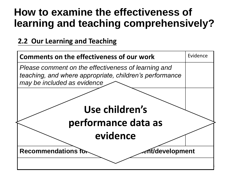### **How to examine the effectiveness of learning and teaching comprehensively?**

#### **2.2 Our Learning and Teaching**

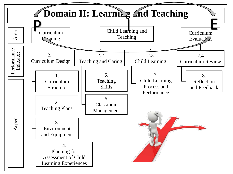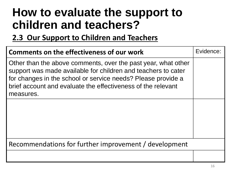## **How to evaluate the support to children and teachers?**

#### **2.3 Our Support to Children and Teachers**

| Comments on the effectiveness of our work                                                                                                                                                                                                                                   | Evidence: |  |
|-----------------------------------------------------------------------------------------------------------------------------------------------------------------------------------------------------------------------------------------------------------------------------|-----------|--|
| Other than the above comments, over the past year, what other<br>support was made available for children and teachers to cater<br>for changes in the school or service needs? Please provide a<br>brief account and evaluate the effectiveness of the relevant<br>measures. |           |  |
|                                                                                                                                                                                                                                                                             |           |  |
| Recommendations for further improvement / development                                                                                                                                                                                                                       |           |  |
|                                                                                                                                                                                                                                                                             |           |  |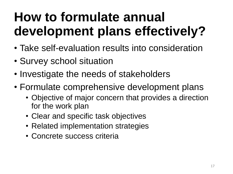## **How to formulate annual development plans effectively?**

- Take self-evaluation results into consideration
- Survey school situation
- Investigate the needs of stakeholders
- Formulate comprehensive development plans
	- Objective of major concern that provides a direction for the work plan
	- Clear and specific task objectives
	- Related implementation strategies
	- Concrete success criteria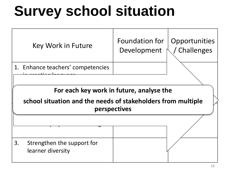## **Survey school situation**

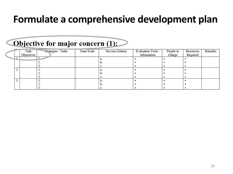### **Formulate a comprehensive development plan**

#### Objective for major concern (1):

|            | Task       | Strategies / Tasks | Time Scale | Success Criteria | Evaluation Tools / | People in | Resources | Remarks |
|------------|------------|--------------------|------------|------------------|--------------------|-----------|-----------|---------|
|            | Objectives |                    |            |                  | Information        | Charge    | Required  |         |
|            |            |                    |            |                  |                    |           |           |         |
|            |            |                    |            | υ.               |                    |           |           |         |
|            |            |                    |            | v.               |                    |           |           |         |
| , <u>.</u> |            |                    |            |                  |                    |           |           |         |
|            |            |                    |            | υ.               |                    |           |           |         |
|            |            |                    |            | v.               |                    |           |           |         |
|            |            |                    |            |                  |                    |           |           |         |
|            |            |                    |            | 0.               |                    |           |           |         |
|            |            |                    |            |                  |                    |           |           |         |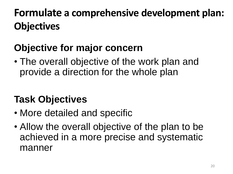## **Formulate a comprehensive development plan: Objectives**

### **Objective for major concern**

• The overall objective of the work plan and provide a direction for the whole plan

### **Task Objectives**

- More detailed and specific
- Allow the overall objective of the plan to be achieved in a more precise and systematic manner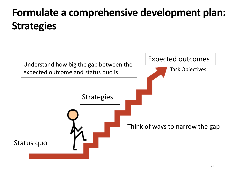## **Formulate a comprehensive development plan: Strategies**

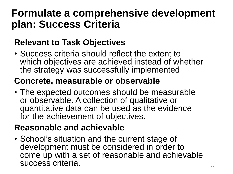### **Formulate a comprehensive development plan: Success Criteria**

### **Relevant to Task Objectives**

• Success criteria should reflect the extent to which objectives are achieved instead of whether the strategy was successfully implemented

#### **Concrete, measurable or observable**

• The expected outcomes should be measurable or observable. A collection of qualitative or quantitative data can be used as the evidence for the achievement of objectives.

### **Reasonable and achievable**

• School's situation and the current stage of development must be considered in order to come up with a set of reasonable and achievable success criteria.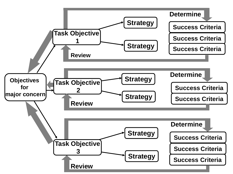